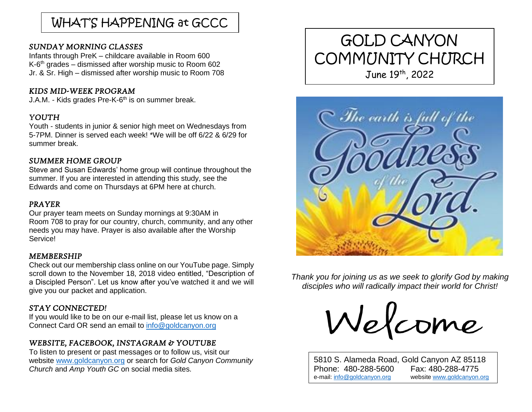# WHAT'S HAPPENING at GCCC

## *SUNDAY MORNING CLASSES*

Infants through PreK – childcare available in Room 600 K-6<sup>th</sup> grades – dismissed after worship music to Room 602 Jr. & Sr. High – dismissed after worship music to Room 708

### *KIDS MID-WEEK PROGRAM*

J.A.M. - Kids grades Pre-K-6<sup>th</sup> is on summer break.

# *YOUTH*

Youth - students in junior & senior high meet on Wednesdays from 5-7PM. Dinner is served each week! \*We will be off 6/22 & 6/29 for summer break.

# *SUMMER HOME GROUP*

Steve and Susan Edwards' home group will continue throughout the summer. If you are interested in attending this study, see the Edwards and come on Thursdays at 6PM here at church.

## *PRAYER*

Our prayer team meets on Sunday mornings at 9:30AM in Room 708 to pray for our country, church, community, and any other needs you may have. Prayer is also available after the Worship **Service!** 

## *MEMBERSHIP*

Check out our membership class online on our YouTube page. Simply scroll down to the November 18, 2018 video entitled, "Description of a Discipled Person". Let us know after you've watched it and we will give you our packet and application.

# *STAY CONNECTED!*

If you would like to be on our e-mail list, please let us know on a Connect Card OR send an email to [info@goldcanyon.org](mailto:info@goldcanyon.org)

# *WEBSITE, FACEBOOK, INSTAGRAM & YOUTUBE*

To listen to present or past messages or to follow us, visit our website [www.goldcanyon.org](http://www.goldcanyon.org/) or search for *Gold Canyon Community Church* and *Amp Youth GC* on social media sites.

# GOLD CANYON COMMUNITY CHURCH June 19th, 2022



 *Thank you for joining us as we seek to glorify God by making disciples who will radically impact their world for Christ!*

Welcome

5810 S. Alameda Road, Gold Canyon AZ 85118 Phone: 480-288-5600 Fax: 480-288-4775 e-mail[: info@goldcanyon.org](mailto:info@goldcanyon.org) website [www.goldcanyon.org](http://www.goldcanyon.org/)